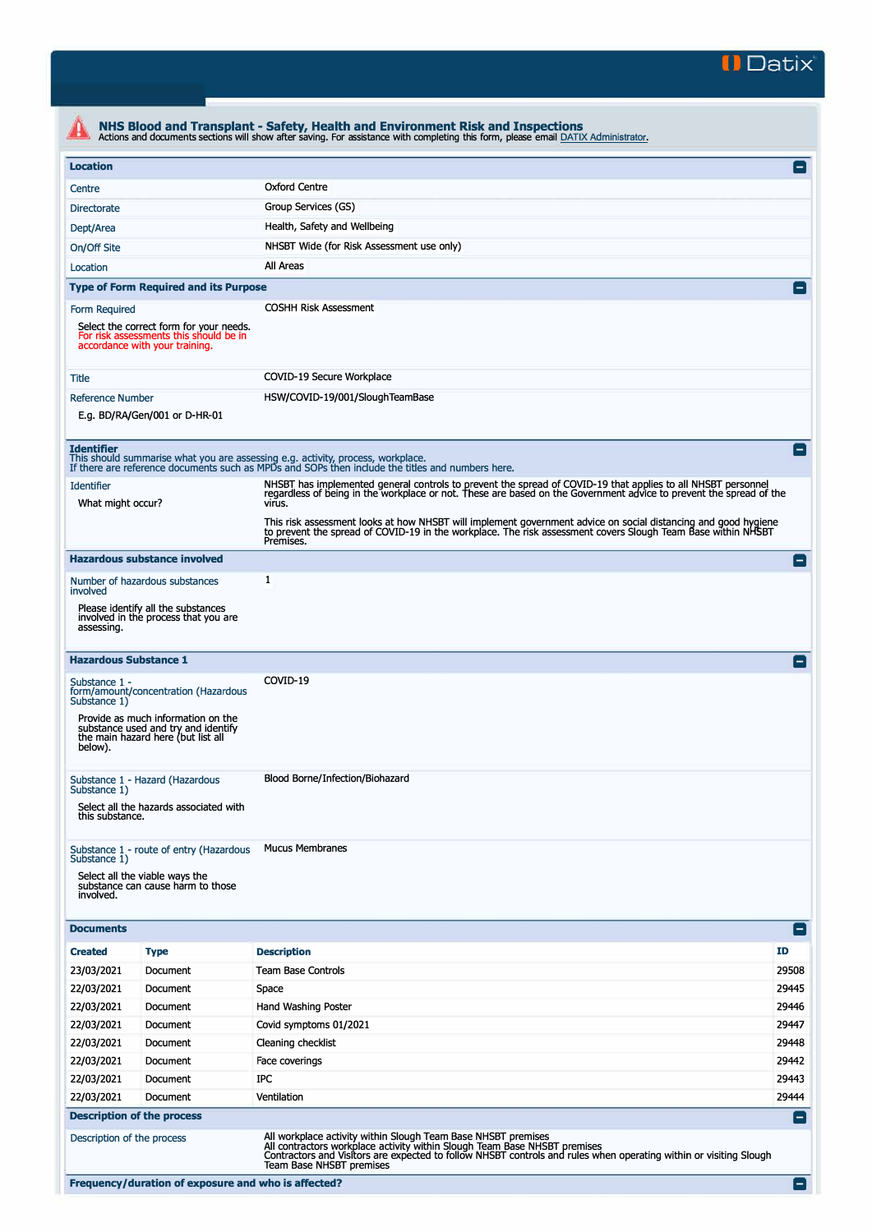

| <b>Location</b>                        |                                                                                                                     |                                                                                                                                                                                     |                                                                                                                                                                                                                                          |  |  |  |
|----------------------------------------|---------------------------------------------------------------------------------------------------------------------|-------------------------------------------------------------------------------------------------------------------------------------------------------------------------------------|------------------------------------------------------------------------------------------------------------------------------------------------------------------------------------------------------------------------------------------|--|--|--|
| Centre                                 |                                                                                                                     | <b>Oxford Centre</b>                                                                                                                                                                |                                                                                                                                                                                                                                          |  |  |  |
| <b>Directorate</b>                     |                                                                                                                     | Group Services (GS)                                                                                                                                                                 |                                                                                                                                                                                                                                          |  |  |  |
| Dept/Area                              |                                                                                                                     | Health, Safety and Wellbeing                                                                                                                                                        |                                                                                                                                                                                                                                          |  |  |  |
| On/Off Site                            |                                                                                                                     |                                                                                                                                                                                     |                                                                                                                                                                                                                                          |  |  |  |
| Location                               |                                                                                                                     | All Areas                                                                                                                                                                           |                                                                                                                                                                                                                                          |  |  |  |
|                                        | <b>Type of Form Required and its Purpose</b>                                                                        |                                                                                                                                                                                     |                                                                                                                                                                                                                                          |  |  |  |
| Form Required                          |                                                                                                                     | <b>COSHH Risk Assessment</b>                                                                                                                                                        |                                                                                                                                                                                                                                          |  |  |  |
|                                        | Select the correct form for your needs.<br>For risk assessments this should be in<br>accordance with your training. |                                                                                                                                                                                     |                                                                                                                                                                                                                                          |  |  |  |
| Title                                  |                                                                                                                     | COVID-19 Secure Workplace                                                                                                                                                           |                                                                                                                                                                                                                                          |  |  |  |
| <b>Reference Number</b>                |                                                                                                                     | HSW/COVID-19/001/SloughTeamBase                                                                                                                                                     |                                                                                                                                                                                                                                          |  |  |  |
|                                        | E.g. BD/RA/Gen/001 or D-HR-01                                                                                       |                                                                                                                                                                                     |                                                                                                                                                                                                                                          |  |  |  |
| <b>Identifier</b>                      |                                                                                                                     | This should summarise what you are assessing e.g. activity, process, workplace.<br>If there are reference documents such as MPDs and SOPs then include the titles and numbers here. | $\overline{\phantom{0}}$                                                                                                                                                                                                                 |  |  |  |
| <b>Identifier</b><br>What might occur? |                                                                                                                     |                                                                                                                                                                                     | NHSBT has implemented general controls to prevent the spread of COVID-19 that applies to all NHSBT personnel<br>regardless of being in the workplace or not. These are based on the Government advice to prevent the spread of the       |  |  |  |
|                                        |                                                                                                                     | Premises.                                                                                                                                                                           | virus.<br>This risk assessment looks at how NHSBT will implement government advice on social distancing and good hygiene<br>to prevent the spread of COVID-19 in the workplace. The risk assessment covers Slough Team Base within NHSBT |  |  |  |
|                                        | <b>Hazardous substance involved</b>                                                                                 |                                                                                                                                                                                     | Е                                                                                                                                                                                                                                        |  |  |  |
| involved                               | Number of hazardous substances                                                                                      | $\mathbf{1}$                                                                                                                                                                        |                                                                                                                                                                                                                                          |  |  |  |
| assessing.                             | Please identify all the substances<br>involved in the process that you are                                          |                                                                                                                                                                                     |                                                                                                                                                                                                                                          |  |  |  |
|                                        | <b>Hazardous Substance 1</b>                                                                                        |                                                                                                                                                                                     |                                                                                                                                                                                                                                          |  |  |  |
| Substance 1 -<br>Substance 1)          | form/amount/concentration (Hazardous                                                                                | COVID-19                                                                                                                                                                            |                                                                                                                                                                                                                                          |  |  |  |
| below).                                | Provide as much information on the<br>substance used and try and identify<br>the main hazard here (but list all     |                                                                                                                                                                                     |                                                                                                                                                                                                                                          |  |  |  |
| Substance 1)                           | Substance 1 - Hazard (Hazardous                                                                                     | Blood Borne/Infection/Biohazard                                                                                                                                                     |                                                                                                                                                                                                                                          |  |  |  |
| this substance.                        | Select all the hazards associated with                                                                              |                                                                                                                                                                                     |                                                                                                                                                                                                                                          |  |  |  |
| Substance 1)                           | Substance 1 - route of entry (Hazardous                                                                             | <b>Mucus Membranes</b>                                                                                                                                                              |                                                                                                                                                                                                                                          |  |  |  |
| involved.                              | Select all the viable ways the<br>substance can cause harm to those                                                 |                                                                                                                                                                                     |                                                                                                                                                                                                                                          |  |  |  |
| <b>Documents</b>                       |                                                                                                                     |                                                                                                                                                                                     | ۸                                                                                                                                                                                                                                        |  |  |  |
| <b>Created</b>                         | <b>Type</b>                                                                                                         | <b>Description</b>                                                                                                                                                                  | ID                                                                                                                                                                                                                                       |  |  |  |
| 23/03/2021                             | Document                                                                                                            | <b>Team Base Controls</b>                                                                                                                                                           | 29508                                                                                                                                                                                                                                    |  |  |  |
| 22/03/2021                             | Document                                                                                                            | Space                                                                                                                                                                               | 29445                                                                                                                                                                                                                                    |  |  |  |
| 22/03/2021                             | Document                                                                                                            | Hand Washing Poster                                                                                                                                                                 | 29446                                                                                                                                                                                                                                    |  |  |  |
| 22/03/2021                             | Document                                                                                                            | Covid symptoms 01/2021                                                                                                                                                              | 29447                                                                                                                                                                                                                                    |  |  |  |
| 22/03/2021                             | Document                                                                                                            | Cleaning checklist                                                                                                                                                                  | 29448                                                                                                                                                                                                                                    |  |  |  |
| 22/03/2021                             | Document                                                                                                            | Face coverings                                                                                                                                                                      | 29442                                                                                                                                                                                                                                    |  |  |  |
| 22/03/2021                             | Document                                                                                                            | IPC                                                                                                                                                                                 | 29443                                                                                                                                                                                                                                    |  |  |  |
| 22/03/2021                             | Document                                                                                                            | Ventilation                                                                                                                                                                         | 29444                                                                                                                                                                                                                                    |  |  |  |
|                                        | <b>Description of the process</b>                                                                                   |                                                                                                                                                                                     |                                                                                                                                                                                                                                          |  |  |  |
|                                        | Description of the process                                                                                          | All workplace activity within Slough Team Base NHSBT premises<br>All contractors workplace activity within Slough Team Base NHSBT premises                                          |                                                                                                                                                                                                                                          |  |  |  |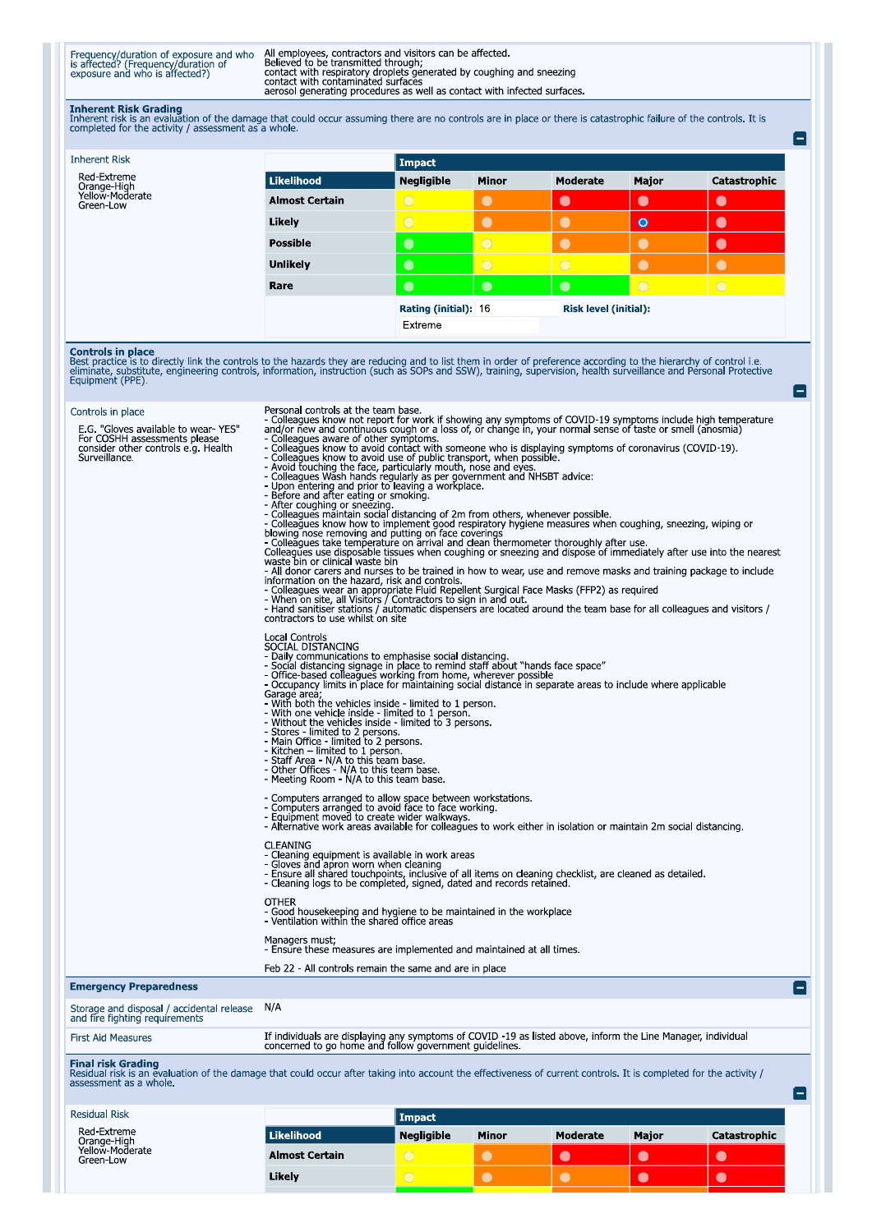Frequency/duration of exposure and who<br>is affected? (Frequency/duration of<br>exposure and who is affected?)

All employees, contractors and visitors can be affected.<br>Believed to be transmitted through;<br>contact with respiratory droplets generated by coughing and sneezing<br>contact with contaminated surfaces<br>aerosol generating proced

**Inherent Risk Grading**<br>Inherent risk is an evaluation of the damage that could occur assuming there are no controls are in place or there is catastrophic failure of the controls. It is<br>completed for the activity / assessm

 $\blacksquare$ 

 $\blacksquare$ 

| <b>Inherent Risk</b>                        |                       | Impact               |              |                              |                |              |  |
|---------------------------------------------|-----------------------|----------------------|--------------|------------------------------|----------------|--------------|--|
| Red-Extreme                                 | Likelihood            | <b>Negligible</b>    | <b>Minor</b> | Moderate                     | Major          | Catastrophic |  |
| Orange-High<br>Yellow-Moderate<br>Green-Low | <b>Almost Certain</b> | $\bigcirc$           | $\bullet$    | $\bullet$                    | $\bullet$      | $\bullet$    |  |
|                                             | Likely                | $\bigcirc$           | $\bullet$    | $\bullet$                    | $\bullet$      | $\bullet$    |  |
|                                             | <b>Possible</b>       | $\bullet$            | $\circ$      |                              |                | $\bullet$    |  |
|                                             | <b>Unlikely</b>       | $\bullet$            | $\circ$      | $\overline{O}$               |                |              |  |
|                                             | Rare                  | $\bullet$            | $\bullet$    | $\bullet$                    | $\overline{O}$ | $\bigcirc$   |  |
|                                             |                       | Rating (initial): 16 |              | <b>Risk level (initial):</b> |                |              |  |
|                                             |                       | Extreme              |              |                              |                |              |  |

**Controls in place**<br>Best practice is to directly link the controls to the hazards they are reducing and to list them in order of preference according to the hierarchy of control i.e.<br>eliminate, substitute, engineering cont

| Controls in place                                                                                                           | Personal controls at the team base.                                                                                                                                                                                                                                                                                                                                                                                                                                                                                                                                                                                                                                                                                                                                                                                                                                                                                                                                                                                                                                                                                                                                                                                                                                                                                                                                                                                                                                                                                                                                                                                                                                                                                               |
|-----------------------------------------------------------------------------------------------------------------------------|-----------------------------------------------------------------------------------------------------------------------------------------------------------------------------------------------------------------------------------------------------------------------------------------------------------------------------------------------------------------------------------------------------------------------------------------------------------------------------------------------------------------------------------------------------------------------------------------------------------------------------------------------------------------------------------------------------------------------------------------------------------------------------------------------------------------------------------------------------------------------------------------------------------------------------------------------------------------------------------------------------------------------------------------------------------------------------------------------------------------------------------------------------------------------------------------------------------------------------------------------------------------------------------------------------------------------------------------------------------------------------------------------------------------------------------------------------------------------------------------------------------------------------------------------------------------------------------------------------------------------------------------------------------------------------------------------------------------------------------|
| E.G. "Gloves available to wear-YES"<br>For COSHH assessments please<br>consider other controls e.g. Health<br>Surveillance. | - Colleagues know not report for work if showing any symptoms of COVID-19 symptoms include high temperature<br>and/or new and continuous cough or a loss of, or change in, your normal sense of taste or smell (anosmia)<br>- Colleagues aware of other symptoms.<br>- Colleagues aware of other symptoms.<br>Colleagues know to avoid contact with someone who is displaying symptoms of coronavirus (COVID-19).<br>- Colleagues know to avoid use of public transport, when possible.<br>- Avoid touchi<br>- Colleagues know how to implement good respiratory hygiene measures when coughing, sneezing, wiping or<br>blowing nose removing and putting on face coverings<br>- Colleagues take temperature on arrival and clean thermometer thoroughly after use.<br>Colleagues use disposable tissues when coughing or sneezing and dispose of immediately after use into the nearest<br>waste bin or clinical waste bin<br>The Hill donor carers and nurses to be trained in how to wear, use and remove masks and training package to include<br>information on the hazard, risk and controls.<br>Information on the hazard, risk and controls.<br>- Colleagues wear an appropriate Fluid Repellent Surgical Face Masks (FFP2) as required<br>- When on site, all Visitors / Contractors to sign in and out.<br>- Hand sanitiser stations / automatic dispensers are located around the team base for all colleagues and visitors /<br>contractors to use whilst on site<br>Local Controls<br>SOCIAL DISTANCING<br>- Daily communications to emphasise social distancing.<br>- Social distancing signage in place to remind staff about "hands face space"<br>- Office-based colleagues working from home, wherever possible |
|                                                                                                                             | - Occupancy limits in place for maintaining social distance in separate areas to include where applicable<br>Garage area;<br>- With both the vehicles inside - limited to 1 person.<br>- With one vehicle inside - limited to 1 person.<br>- Without the vehicles inside - limited to 3 persons.<br>- whole the elements inside<br>- Stores - limited to 2 persons.<br>- Main Office - limited to 2 persons.<br>- Kitchen - limited to 1 person.<br>- Staff Area - N/A to this team base.<br>- Other Offices - N/A to this team base.<br>- Meeting Room - N/A to this team base.                                                                                                                                                                                                                                                                                                                                                                                                                                                                                                                                                                                                                                                                                                                                                                                                                                                                                                                                                                                                                                                                                                                                                  |
|                                                                                                                             | - Computers arranged to allow space between workstations.<br>- Computers arranged to avoid face to face working.<br>- Equipment moved to create wider walkways.<br>- Alternative work areas available for colleagues to work either in isolation or maintain 2m social distancing.                                                                                                                                                                                                                                                                                                                                                                                                                                                                                                                                                                                                                                                                                                                                                                                                                                                                                                                                                                                                                                                                                                                                                                                                                                                                                                                                                                                                                                                |
|                                                                                                                             | <b>CLEANING</b><br>- Cleaning equipment is available in work areas<br>- Gloves and apron worn when cleaning<br>- Ensure all shared touchpoints, inclusive of all items on cleaning checklist, are cleaned as detailed.<br>- Cleaning logs to be completed, signed, dated and records retained.                                                                                                                                                                                                                                                                                                                                                                                                                                                                                                                                                                                                                                                                                                                                                                                                                                                                                                                                                                                                                                                                                                                                                                                                                                                                                                                                                                                                                                    |
|                                                                                                                             | <b>OTHER</b><br>- Good housekeeping and hygiene to be maintained in the workplace<br>- Ventilation within the shared office areas                                                                                                                                                                                                                                                                                                                                                                                                                                                                                                                                                                                                                                                                                                                                                                                                                                                                                                                                                                                                                                                                                                                                                                                                                                                                                                                                                                                                                                                                                                                                                                                                 |
|                                                                                                                             | Managers must;<br>- Ensure these measures are implemented and maintained at all times.                                                                                                                                                                                                                                                                                                                                                                                                                                                                                                                                                                                                                                                                                                                                                                                                                                                                                                                                                                                                                                                                                                                                                                                                                                                                                                                                                                                                                                                                                                                                                                                                                                            |
|                                                                                                                             | Feb 22 - All controls remain the same and are in place                                                                                                                                                                                                                                                                                                                                                                                                                                                                                                                                                                                                                                                                                                                                                                                                                                                                                                                                                                                                                                                                                                                                                                                                                                                                                                                                                                                                                                                                                                                                                                                                                                                                            |
| <b>Emergency Preparedness</b>                                                                                               | $\vert - \vert$                                                                                                                                                                                                                                                                                                                                                                                                                                                                                                                                                                                                                                                                                                                                                                                                                                                                                                                                                                                                                                                                                                                                                                                                                                                                                                                                                                                                                                                                                                                                                                                                                                                                                                                   |
| Storage and disposal / accidental release<br>and fire fighting requirements                                                 | N/A                                                                                                                                                                                                                                                                                                                                                                                                                                                                                                                                                                                                                                                                                                                                                                                                                                                                                                                                                                                                                                                                                                                                                                                                                                                                                                                                                                                                                                                                                                                                                                                                                                                                                                                               |
| <b>First Aid Measures</b>                                                                                                   | If individuals are displaying any symptoms of COVID -19 as listed above, inform the Line Manager, individual<br>concerned to go home and follow government guidelines.                                                                                                                                                                                                                                                                                                                                                                                                                                                                                                                                                                                                                                                                                                                                                                                                                                                                                                                                                                                                                                                                                                                                                                                                                                                                                                                                                                                                                                                                                                                                                            |
| <b>Final risk Grading</b><br>assessment as a whole.                                                                         | Residual risk is an evaluation of the damage that could occur after taking into account the effectiveness of current controls. It is completed for the activity /<br>I — I                                                                                                                                                                                                                                                                                                                                                                                                                                                                                                                                                                                                                                                                                                                                                                                                                                                                                                                                                                                                                                                                                                                                                                                                                                                                                                                                                                                                                                                                                                                                                        |

| Residual Risk                |                       | Impact.           |              |          |              |              |  |
|------------------------------|-----------------------|-------------------|--------------|----------|--------------|--------------|--|
| Red Extreme<br>Orange-High   | Likelihood            | <b>Negligible</b> | <b>Minor</b> | Moderate | <b>Major</b> | Catastrophic |  |
| Yellow-Moderate<br>Green-Low | <b>Almost Certain</b> |                   |              |          |              | $\bullet$    |  |
|                              | Likely                |                   |              |          | L.           | $\bullet$    |  |